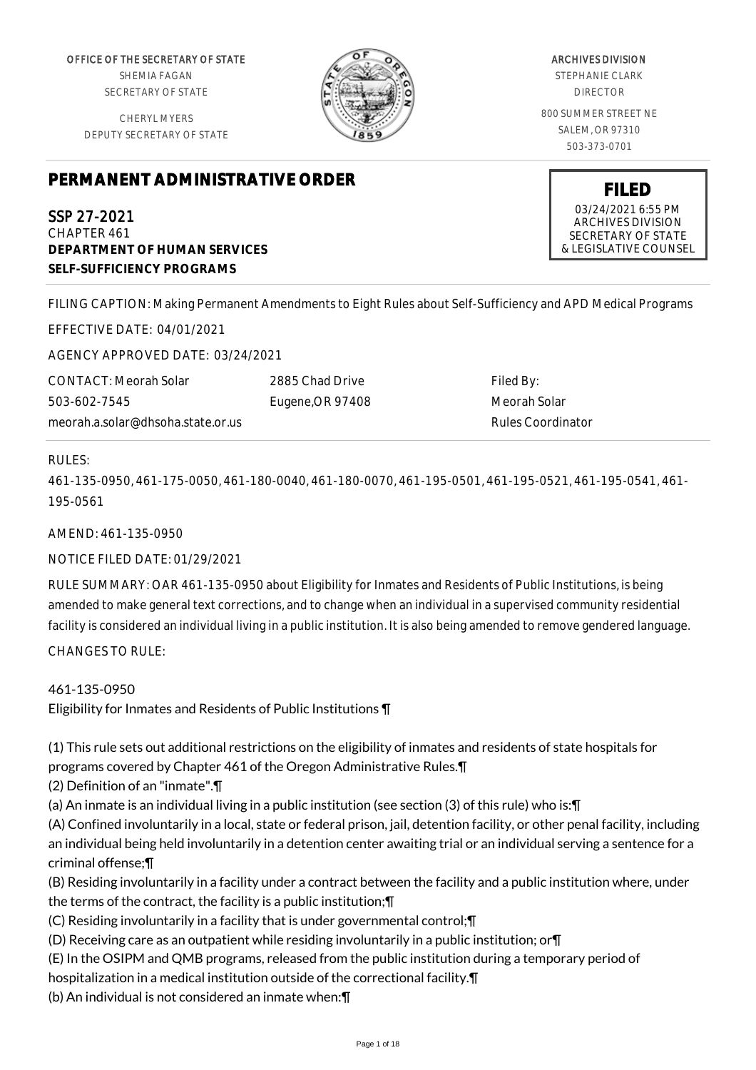OFFICE OF THE SECRETARY OF STATE SHEMIA FAGAN SECRETARY OF STATE

CHERYL MYERS DEPUTY SECRETARY OF STATE



ARCHIVES DIVISION STEPHANIE CLARK DIRECTOR 800 SUMMER STREET NE SALEM, OR 97310 503-373-0701

# **PERMANENT ADMINISTRATIVE ORDER**

SSP 27-2021 CHAPTER 461 **DEPARTMENT OF HUMAN SERVICES SELF-SUFFICIENCY PROGRAMS**

**FILED** 03/24/2021 6:55 PM ARCHIVES DIVISION SECRETARY OF STATE & LEGISLATIVE COUNSEL

FILING CAPTION: Making Permanent Amendments to Eight Rules about Self-Sufficiency and APD Medical Programs

EFFECTIVE DATE: 04/01/2021

AGENCY APPROVED DATE: 03/24/2021

CONTACT: Meorah Solar 503-602-7545 meorah.a.solar@dhsoha.state.or.us 2885 Chad Drive Eugene,OR 97408

Filed By: Meorah Solar Rules Coordinator

#### RULES:

461-135-0950, 461-175-0050, 461-180-0040, 461-180-0070, 461-195-0501, 461-195-0521, 461-195-0541, 461- 195-0561

AMEND: 461-135-0950

NOTICE FILED DATE: 01/29/2021

RULE SUMMARY: OAR 461-135-0950 about Eligibility for Inmates and Residents of Public Institutions, is being amended to make general text corrections, and to change when an individual in a supervised community residential facility is considered an individual living in a public institution. It is also being amended to remove gendered language. CHANGES TO RULE:

461-135-0950 Eligibility for Inmates and Residents of Public Institutions ¶

(1) This rule sets out additional restrictions on the eligibility of inmates and residents of state hospitals for programs covered by Chapter 461 of the Oregon Administrative Rules.¶

(2) Definition of an "inmate".¶

(a) An inmate is an individual living in a public institution (see section (3) of this rule) who is:¶

(A) Confined involuntarily in a local, state or federal prison, jail, detention facility, or other penal facility, including an individual being held involuntarily in a detention center awaiting trial or an individual serving a sentence for a criminal offense;¶

(B) Residing involuntarily in a facility under a contract between the facility and a public institution where, under the terms of the contract, the facility is a public institution;¶

- (C) Residing involuntarily in a facility that is under governmental control;¶
- (D) Receiving care as an outpatient while residing involuntarily in a public institution; or¶
- (E) In the OSIPM and QMB programs, released from the public institution during a temporary period of

hospitalization in a medical institution outside of the correctional facility.¶

(b) An individual is not considered an inmate when:¶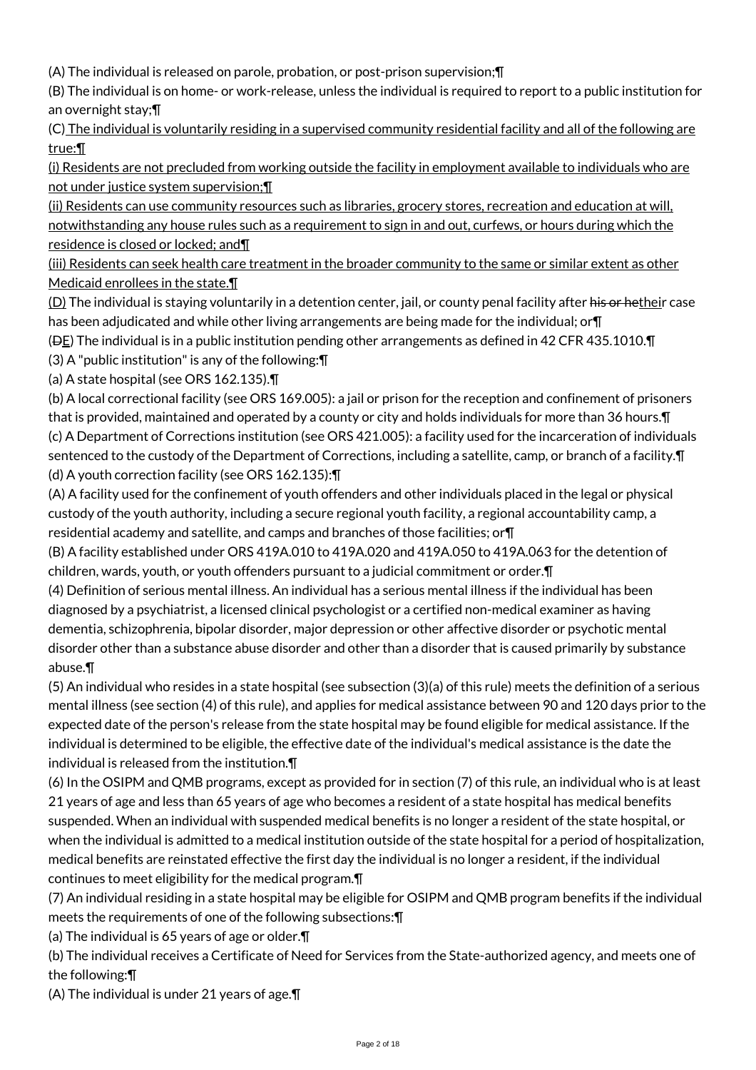(A) The individual is released on parole, probation, or post-prison supervision;¶

(B) The individual is on home- or work-release, unless the individual is required to report to a public institution for an overnight stay;¶

(C) The individual is voluntarily residing in a supervised community residential facility and all of the following are true:¶

(i) Residents are not precluded from working outside the facility in employment available to individuals who are not under justice system supervision;¶

(ii) Residents can use community resources such as libraries, grocery stores, recreation and education at will, notwithstanding any house rules such as a requirement to sign in and out, curfews, or hours during which the residence is closed or locked; and¶

(iii) Residents can seek health care treatment in the broader community to the same or similar extent as other Medicaid enrollees in the state.¶

(D) The individual is staying voluntarily in a detention center, jail, or county penal facility after his or hetheir case has been adjudicated and while other living arrangements are being made for the individual; or¶

(DE) The individual is in a public institution pending other arrangements as defined in 42 CFR 435.1010.¶

(3) A "public institution" is any of the following:¶

(a) A state hospital (see ORS 162.135).¶

(b) A local correctional facility (see ORS 169.005): a jail or prison for the reception and confinement of prisoners that is provided, maintained and operated by a county or city and holds individuals for more than 36 hours.¶ (c) A Department of Corrections institution (see ORS 421.005): a facility used for the incarceration of individuals sentenced to the custody of the Department of Corrections, including a satellite, camp, or branch of a facility. $\P$ (d) A youth correction facility (see ORS 162.135):¶

(A) A facility used for the confinement of youth offenders and other individuals placed in the legal or physical custody of the youth authority, including a secure regional youth facility, a regional accountability camp, a residential academy and satellite, and camps and branches of those facilities; or¶

(B) A facility established under ORS 419A.010 to 419A.020 and 419A.050 to 419A.063 for the detention of children, wards, youth, or youth offenders pursuant to a judicial commitment or order.¶

(4) Definition of serious mental illness. An individual has a serious mental illness if the individual has been diagnosed by a psychiatrist, a licensed clinical psychologist or a certified non-medical examiner as having dementia, schizophrenia, bipolar disorder, major depression or other affective disorder or psychotic mental disorder other than a substance abuse disorder and other than a disorder that is caused primarily by substance abuse.¶

(5) An individual who resides in a state hospital (see subsection (3)(a) of this rule) meets the definition of a serious mental illness (see section (4) of this rule), and applies for medical assistance between 90 and 120 days prior to the expected date of the person's release from the state hospital may be found eligible for medical assistance. If the individual is determined to be eligible, the effective date of the individual's medical assistance is the date the individual is released from the institution.¶

(6) In the OSIPM and QMB programs, except as provided for in section (7) of this rule, an individual who is at least 21 years of age and less than 65 years of age who becomes a resident of a state hospital has medical benefits suspended. When an individual with suspended medical benefits is no longer a resident of the state hospital, or when the individual is admitted to a medical institution outside of the state hospital for a period of hospitalization, medical benefits are reinstated effective the first day the individual is no longer a resident, if the individual continues to meet eligibility for the medical program.¶

(7) An individual residing in a state hospital may be eligible for OSIPM and QMB program benefits if the individual meets the requirements of one of the following subsections:¶

(a) The individual is 65 years of age or older.¶

(b) The individual receives a Certificate of Need for Services from the State-authorized agency, and meets one of the following:¶

(A) The individual is under 21 years of age.¶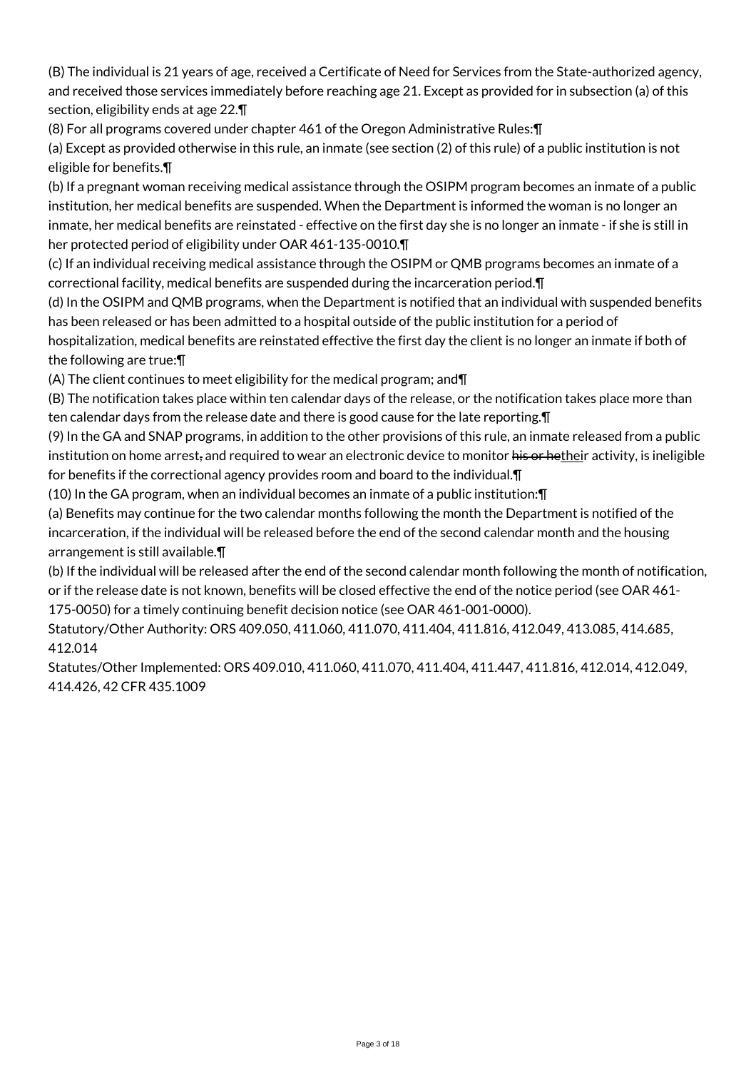(B) The individual is 21 years of age, received a Certificate of Need for Services from the State-authorized agency, and received those services immediately before reaching age 21. Except as provided for in subsection (a) of this section, eligibility ends at age 22.¶

(8) For all programs covered under chapter 461 of the Oregon Administrative Rules:¶

(a) Except as provided otherwise in this rule, an inmate (see section (2) of this rule) of a public institution is not eligible for benefits.¶

(b) If a pregnant woman receiving medical assistance through the OSIPM program becomes an inmate of a public institution, her medical benefits are suspended. When the Department is informed the woman is no longer an inmate, her medical benefits are reinstated - effective on the first day she is no longer an inmate - if she is still in her protected period of eligibility under OAR 461-135-0010.¶

(c) If an individual receiving medical assistance through the OSIPM or QMB programs becomes an inmate of a correctional facility, medical benefits are suspended during the incarceration period.¶

(d) In the OSIPM and QMB programs, when the Department is notified that an individual with suspended benefits has been released or has been admitted to a hospital outside of the public institution for a period of hospitalization, medical benefits are reinstated effective the first day the client is no longer an inmate if both of the following are true:¶

(A) The client continues to meet eligibility for the medical program; and¶

(B) The notification takes place within ten calendar days of the release, or the notification takes place more than ten calendar days from the release date and there is good cause for the late reporting.¶

(9) In the GA and SNAP programs, in addition to the other provisions of this rule, an inmate released from a public institution on home arrest, and required to wear an electronic device to monitor his or hetheir activity, is ineligible for benefits if the correctional agency provides room and board to the individual.¶

(10) In the GA program, when an individual becomes an inmate of a public institution:¶

(a) Benefits may continue for the two calendar months following the month the Department is notified of the incarceration, if the individual will be released before the end of the second calendar month and the housing arrangement is still available.¶

(b) If the individual will be released after the end of the second calendar month following the month of notification, or if the release date is not known, benefits will be closed effective the end of the notice period (see OAR 461- 175-0050) for a timely continuing benefit decision notice (see OAR 461-001-0000).

Statutory/Other Authority: ORS 409.050, 411.060, 411.070, 411.404, 411.816, 412.049, 413.085, 414.685, 412.014

Statutes/Other Implemented: ORS 409.010, 411.060, 411.070, 411.404, 411.447, 411.816, 412.014, 412.049, 414.426, 42 CFR 435.1009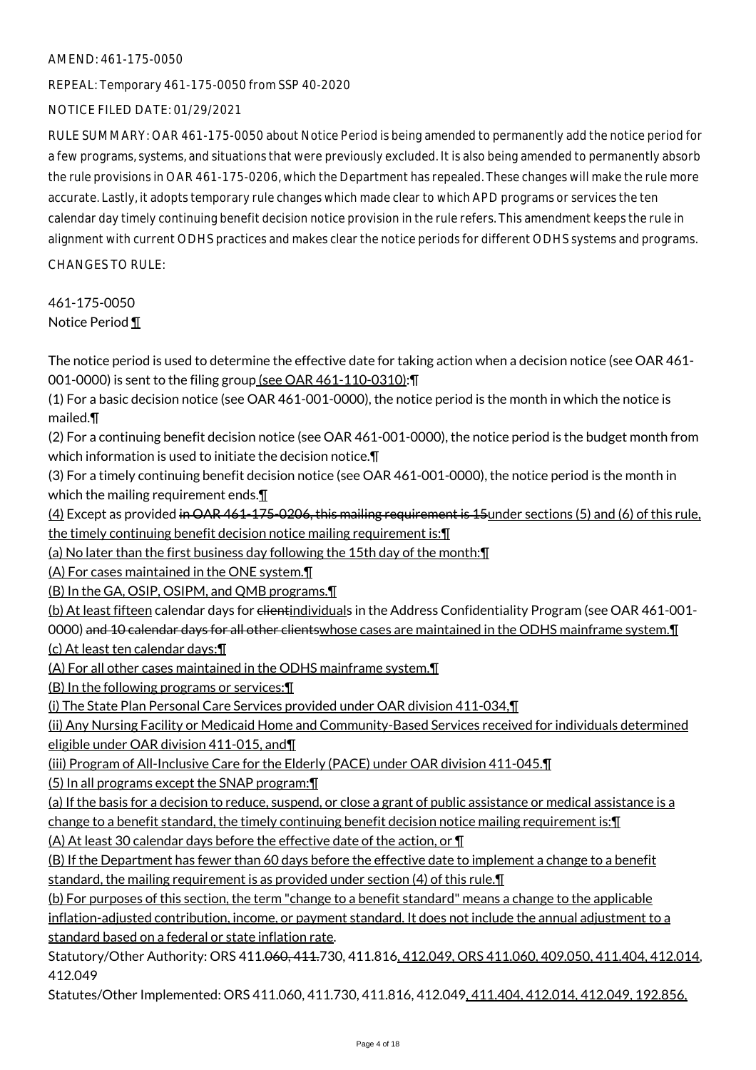REPEAL: Temporary 461-175-0050 from SSP 40-2020

NOTICE FILED DATE: 01/29/2021

RULE SUMMARY: OAR 461-175-0050 about Notice Period is being amended to permanently add the notice period for a few programs, systems, and situations that were previously excluded. It is also being amended to permanently absorb the rule provisions in OAR 461-175-0206, which the Department has repealed. These changes will make the rule more accurate. Lastly, it adopts temporary rule changes which made clear to which APD programs or services the ten calendar day timely continuing benefit decision notice provision in the rule refers. This amendment keeps the rule in alignment with current ODHS practices and makes clear the notice periods for different ODHS systems and programs. CHANGES TO RULE:

461-175-0050 Notice Period ¶

The notice period is used to determine the effective date for taking action when a decision notice (see OAR 461- 001-0000) is sent to the filing group (see OAR 461-110-0310): \[

(1) For a basic decision notice (see OAR 461-001-0000), the notice period is the month in which the notice is mailed.¶

(2) For a continuing benefit decision notice (see OAR 461-001-0000), the notice period is the budget month from which information is used to initiate the decision notice.¶

(3) For a timely continuing benefit decision notice (see OAR 461-001-0000), the notice period is the month in which the mailing requirement ends.

(4) Except as provided in OAR 461-175-0206, this mailing requirement is 15under sections (5) and (6) of this rule, the timely continuing benefit decision notice mailing requirement is:¶

(a) No later than the first business day following the 15th day of the month:¶

(A) For cases maintained in the ONE system.¶

(B) In the GA, OSIP, OSIPM, and QMB programs.¶

(b) At least fifteen calendar days for clientindividuals in the Address Confidentiality Program (see OAR 461-001-0000) and 10 calendar days for all other clientswhose cases are maintained in the ODHS mainframe system. I

(c) At least ten calendar days:¶

(A) For all other cases maintained in the ODHS mainframe system.¶

(B) In the following programs or services:¶

(i) The State Plan Personal Care Services provided under OAR division 411-034,¶

(ii) Any Nursing Facility or Medicaid Home and Community-Based Services received for individuals determined eligible under OAR division 411-015, and¶

(iii) Program of All-Inclusive Care for the Elderly (PACE) under OAR division 411-045.¶

(5) In all programs except the SNAP program:¶

(a) If the basis for a decision to reduce, suspend, or close a grant of public assistance or medical assistance is a

change to a benefit standard, the timely continuing benefit decision notice mailing requirement is:¶

(A) At least 30 calendar days before the effective date of the action, or ¶

(B) If the Department has fewer than 60 days before the effective date to implement a change to a benefit standard, the mailing requirement is as provided under section (4) of this rule.

(b) For purposes of this section, the term "change to a benefit standard" means a change to the applicable inflation-adjusted contribution, income, or payment standard. It does not include the annual adjustment to a standard based on a federal or state inflation rate.

Statutory/Other Authority: ORS 411.060, 411.730, 411.816, 412.049, ORS 411.060, 409.050, 411.404, 412.014, 412.049

Statutes/Other Implemented: ORS 411.060, 411.730, 411.816, 412.049, 411.404, 412.014, 412.049, 192.856,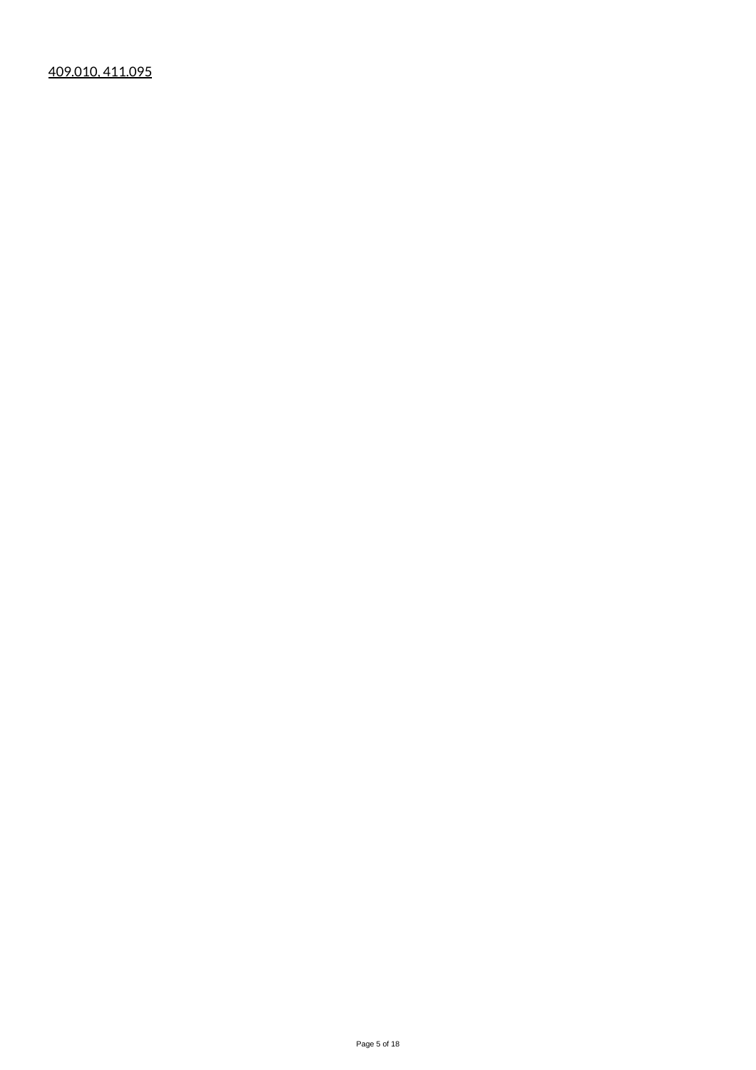409.010, 411.095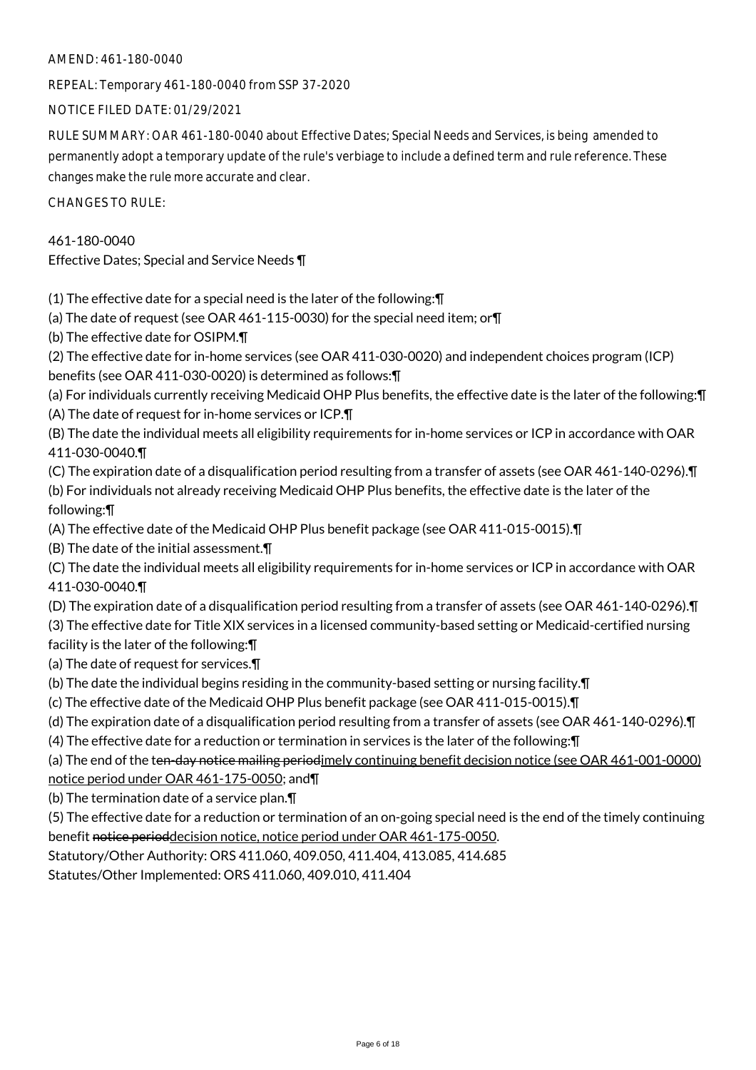AMEND: 461-180-0040

REPEAL: Temporary 461-180-0040 from SSP 37-2020

NOTICE FILED DATE: 01/29/2021

RULE SUMMARY: OAR 461-180-0040 about Effective Dates; Special Needs and Services, is being amended to permanently adopt a temporary update of the rule's verbiage to include a defined term and rule reference. These changes make the rule more accurate and clear.

CHANGES TO RULE:

461-180-0040 Effective Dates; Special and Service Needs ¶

(1) The effective date for a special need is the later of the following:¶

(a) The date of request (see OAR 461-115-0030) for the special need item; or¶

(b) The effective date for OSIPM.¶

(2) The effective date for in-home services (see OAR 411-030-0020) and independent choices program (ICP) benefits (see OAR 411-030-0020) is determined as follows:¶

(a) For individuals currently receiving Medicaid OHP Plus benefits, the effective date is the later of the following:¶ (A) The date of request for in-home services or ICP.¶

(B) The date the individual meets all eligibility requirements for in-home services or ICP in accordance with OAR 411-030-0040.¶

(C) The expiration date of a disqualification period resulting from a transfer of assets (see OAR 461-140-0296).¶

(b) For individuals not already receiving Medicaid OHP Plus benefits, the effective date is the later of the following:¶

(A) The effective date of the Medicaid OHP Plus benefit package (see OAR 411-015-0015).¶

(B) The date of the initial assessment.¶

(C) The date the individual meets all eligibility requirements for in-home services or ICP in accordance with OAR 411-030-0040.¶

(D) The expiration date of a disqualification period resulting from a transfer of assets (see OAR 461-140-0296).¶

(3) The effective date for Title XIX services in a licensed community-based setting or Medicaid-certified nursing

facility is the later of the following:¶

(a) The date of request for services.¶

(b) The date the individual begins residing in the community-based setting or nursing facility.¶

(c) The effective date of the Medicaid OHP Plus benefit package (see OAR 411-015-0015).¶

(d) The expiration date of a disqualification period resulting from a transfer of assets (see OAR 461-140-0296).¶

(4) The effective date for a reduction or termination in services is the later of the following:¶

(a) The end of the ten-day notice mailing periodimely continuing benefit decision notice (see OAR 461-001-0000) notice period under OAR 461-175-0050; and¶

(b) The termination date of a service plan.¶

(5) The effective date for a reduction or termination of an on-going special need is the end of the timely continuing benefit notice perioddecision notice, notice period under OAR 461-175-0050.

Statutory/Other Authority: ORS 411.060, 409.050, 411.404, 413.085, 414.685

Statutes/Other Implemented: ORS 411.060, 409.010, 411.404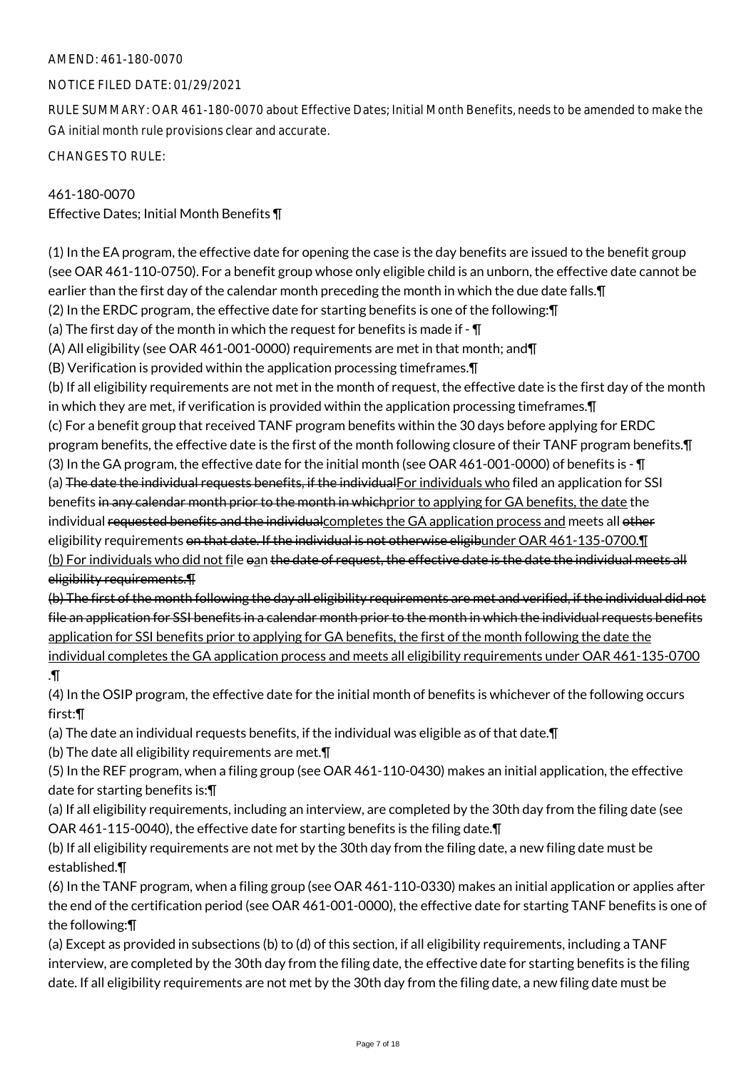# AMEND: 461-180-0070

# NOTICE FILED DATE: 01/29/2021

RULE SUMMARY: OAR 461-180-0070 about Effective Dates; Initial Month Benefits, needs to be amended to make the GA initial month rule provisions clear and accurate.

CHANGES TO RULE:

# 461-180-0070

Effective Dates; Initial Month Benefits ¶

(1) In the EA program, the effective date for opening the case is the day benefits are issued to the benefit group (see OAR 461-110-0750). For a benefit group whose only eligible child is an unborn, the effective date cannot be earlier than the first day of the calendar month preceding the month in which the due date falls.¶

(2) In the ERDC program, the effective date for starting benefits is one of the following:¶

(a) The first day of the month in which the request for benefits is made if  $\overline{\mathbb{I}}$ 

(A) All eligibility (see OAR 461-001-0000) requirements are met in that month; and¶

(B) Verification is provided within the application processing timeframes.¶

(b) If all eligibility requirements are not met in the month of request, the effective date is the first day of the month in which they are met, if verification is provided within the application processing timeframes.¶

(c) For a benefit group that received TANF program benefits within the 30 days before applying for ERDC program benefits, the effective date is the first of the month following closure of their TANF program benefits.¶

(3) In the GA program, the effective date for the initial month (see OAR 461-001-0000) of benefits is - ¶ (a) The date the individual requests benefits, if the individualFor individuals who filed an application for SSI benefits in any calendar month prior to the month in whichprior to applying for GA benefits, the date the individual requested benefits and the individual completes the GA application process and meets all other eligibility requirements on that date. If the individual is not otherwise eligibunder OAR 461-135-0700. I (b) For individuals who did not file oan the date of request, the effective date is the date the individual meets all eligibility requirements.¶

(b) The first of the month following the day all eligibility requirements are met and verified, if the individual did not file an application for SSI benefits in a calendar month prior to the month in which the individual requests benefits application for SSI benefits prior to applying for GA benefits, the first of the month following the date the individual completes the GA application process and meets all eligibility requirements under OAR 461-135-0700 .¶

(4) In the OSIP program, the effective date for the initial month of benefits is whichever of the following occurs first:¶

(a) The date an individual requests benefits, if the individual was eligible as of that date.¶

(b) The date all eligibility requirements are met.¶

(5) In the REF program, when a filing group (see OAR 461-110-0430) makes an initial application, the effective date for starting benefits is:¶

(a) If all eligibility requirements, including an interview, are completed by the 30th day from the filing date (see OAR 461-115-0040), the effective date for starting benefits is the filing date.¶

(b) If all eligibility requirements are not met by the 30th day from the filing date, a new filing date must be established.¶

(6) In the TANF program, when a filing group (see OAR 461-110-0330) makes an initial application or applies after the end of the certification period (see OAR 461-001-0000), the effective date for starting TANF benefits is one of the following:¶

(a) Except as provided in subsections (b) to (d) of this section, if all eligibility requirements, including a TANF interview, are completed by the 30th day from the filing date, the effective date for starting benefits is the filing date. If all eligibility requirements are not met by the 30th day from the filing date, a new filing date must be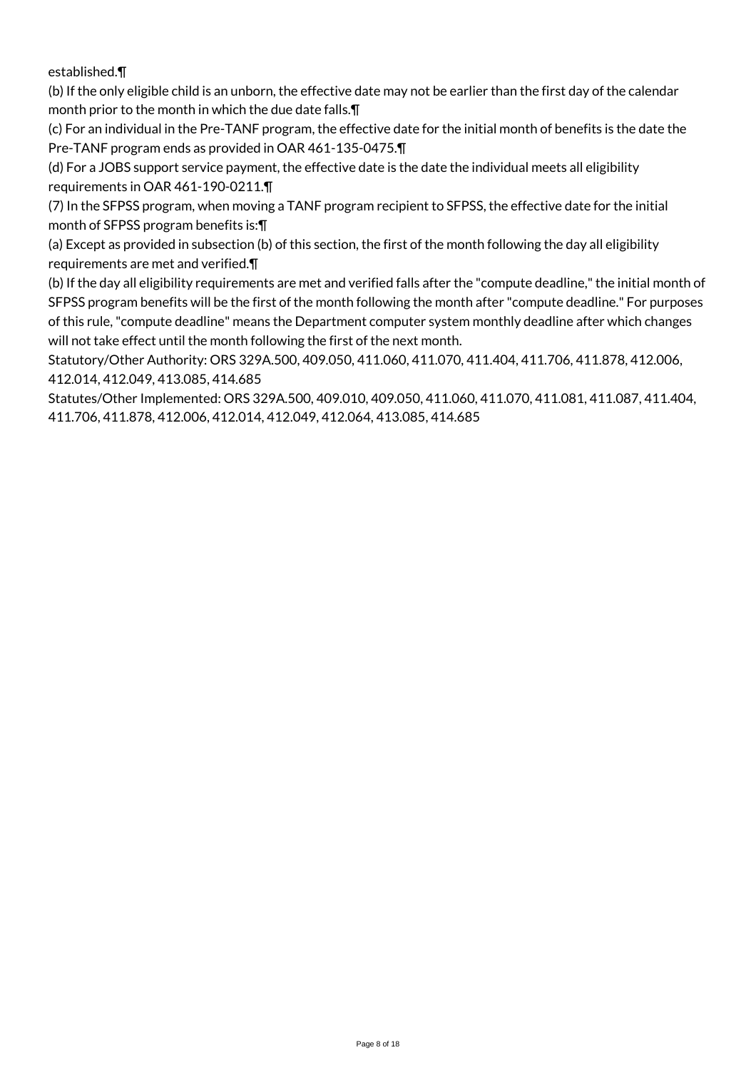established.¶

(b) If the only eligible child is an unborn, the effective date may not be earlier than the first day of the calendar month prior to the month in which the due date falls.¶

(c) For an individual in the Pre-TANF program, the effective date for the initial month of benefits is the date the Pre-TANF program ends as provided in OAR 461-135-0475.¶

(d) For a JOBS support service payment, the effective date is the date the individual meets all eligibility requirements in OAR 461-190-0211.¶

(7) In the SFPSS program, when moving a TANF program recipient to SFPSS, the effective date for the initial month of SFPSS program benefits is:¶

(a) Except as provided in subsection (b) of this section, the first of the month following the day all eligibility requirements are met and verified.¶

(b) If the day all eligibility requirements are met and verified falls after the "compute deadline," the initial month of SFPSS program benefits will be the first of the month following the month after "compute deadline." For purposes of this rule, "compute deadline" means the Department computer system monthly deadline after which changes will not take effect until the month following the first of the next month.

Statutory/Other Authority: ORS 329A.500, 409.050, 411.060, 411.070, 411.404, 411.706, 411.878, 412.006, 412.014, 412.049, 413.085, 414.685

Statutes/Other Implemented: ORS 329A.500, 409.010, 409.050, 411.060, 411.070, 411.081, 411.087, 411.404, 411.706, 411.878, 412.006, 412.014, 412.049, 412.064, 413.085, 414.685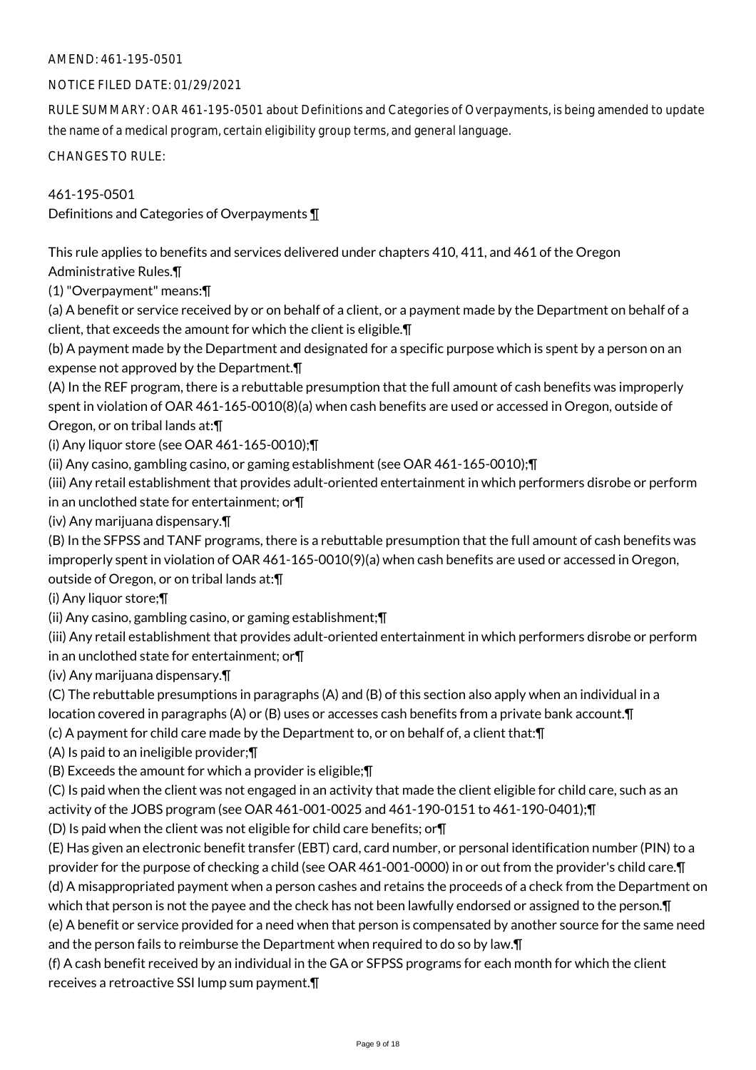# NOTICE FILED DATE: 01/29/2021

RULE SUMMARY: OAR 461-195-0501 about Definitions and Categories of Overpayments, is being amended to update the name of a medical program, certain eligibility group terms, and general language.

CHANGES TO RULE:

461-195-0501

Definitions and Categories of Overpayments ¶

This rule applies to benefits and services delivered under chapters 410, 411, and 461 of the Oregon Administrative Rules.¶

(1) "Overpayment" means:¶

(a) A benefit or service received by or on behalf of a client, or a payment made by the Department on behalf of a client, that exceeds the amount for which the client is eligible.¶

(b) A payment made by the Department and designated for a specific purpose which is spent by a person on an expense not approved by the Department.¶

(A) In the REF program, there is a rebuttable presumption that the full amount of cash benefits was improperly spent in violation of OAR 461-165-0010(8)(a) when cash benefits are used or accessed in Oregon, outside of Oregon, or on tribal lands at:¶

(i) Any liquor store (see OAR 461-165-0010);¶

(ii) Any casino, gambling casino, or gaming establishment (see OAR 461-165-0010);¶

(iii) Any retail establishment that provides adult-oriented entertainment in which performers disrobe or perform in an unclothed state for entertainment; or¶

(iv) Any marijuana dispensary.¶

(B) In the SFPSS and TANF programs, there is a rebuttable presumption that the full amount of cash benefits was improperly spent in violation of OAR 461-165-0010(9)(a) when cash benefits are used or accessed in Oregon, outside of Oregon, or on tribal lands at:¶

(i) Any liquor store;¶

(ii) Any casino, gambling casino, or gaming establishment;¶

(iii) Any retail establishment that provides adult-oriented entertainment in which performers disrobe or perform in an unclothed state for entertainment; or¶

(iv) Any marijuana dispensary.¶

(C) The rebuttable presumptions in paragraphs (A) and (B) of this section also apply when an individual in a location covered in paragraphs (A) or (B) uses or accesses cash benefits from a private bank account.¶

(c) A payment for child care made by the Department to, or on behalf of, a client that:¶

(A) Is paid to an ineligible provider;¶

(B) Exceeds the amount for which a provider is eligible;¶

(C) Is paid when the client was not engaged in an activity that made the client eligible for child care, such as an activity of the JOBS program (see OAR 461-001-0025 and 461-190-0151 to 461-190-0401);¶

(D) Is paid when the client was not eligible for child care benefits; or¶

(E) Has given an electronic benefit transfer (EBT) card, card number, or personal identification number (PIN) to a provider for the purpose of checking a child (see OAR 461-001-0000) in or out from the provider's child care.¶ (d) A misappropriated payment when a person cashes and retains the proceeds of a check from the Department on which that person is not the payee and the check has not been lawfully endorsed or assigned to the person.¶ (e) A benefit or service provided for a need when that person is compensated by another source for the same need and the person fails to reimburse the Department when required to do so by law.¶

(f) A cash benefit received by an individual in the GA or SFPSS programs for each month for which the client receives a retroactive SSI lump sum payment.¶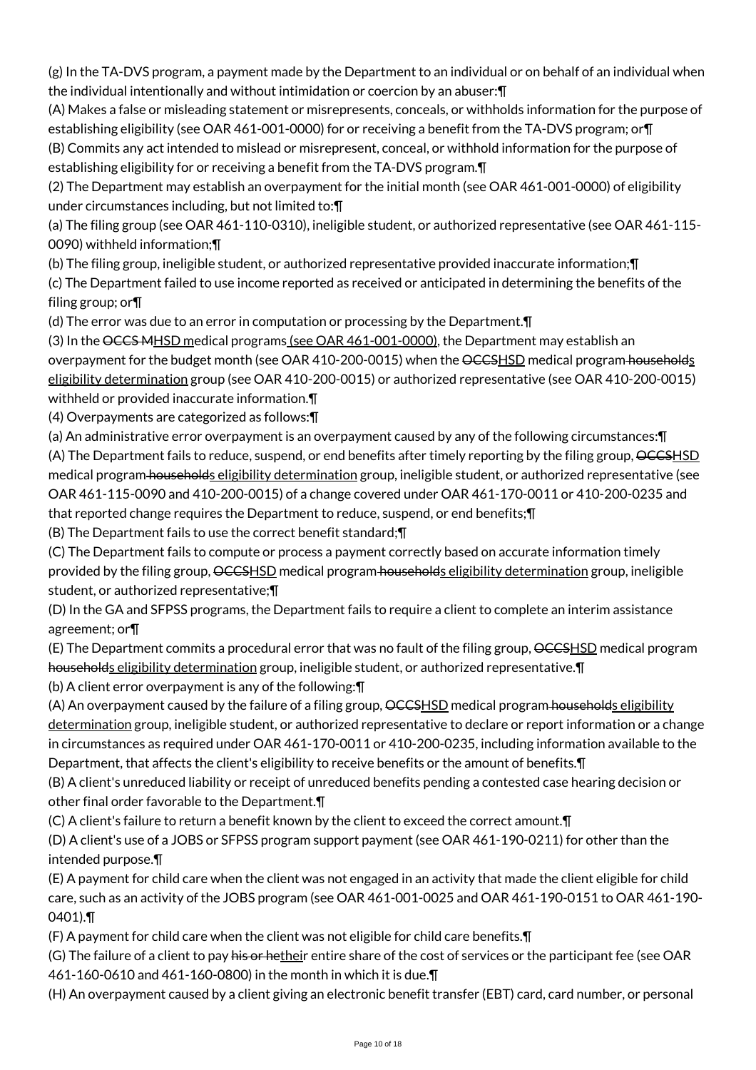(g) In the TA-DVS program, a payment made by the Department to an individual or on behalf of an individual when the individual intentionally and without intimidation or coercion by an abuser:¶

(A) Makes a false or misleading statement or misrepresents, conceals, or withholds information for the purpose of establishing eligibility (see OAR 461-001-0000) for or receiving a benefit from the TA-DVS program; or T (B) Commits any act intended to mislead or misrepresent, conceal, or withhold information for the purpose of establishing eligibility for or receiving a benefit from the TA-DVS program.¶

(2) The Department may establish an overpayment for the initial month (see OAR 461-001-0000) of eligibility under circumstances including, but not limited to:¶

(a) The filing group (see OAR 461-110-0310), ineligible student, or authorized representative (see OAR 461-115- 0090) withheld information;¶

(b) The filing group, ineligible student, or authorized representative provided inaccurate information;¶

(c) The Department failed to use income reported as received or anticipated in determining the benefits of the filing group; or¶

(d) The error was due to an error in computation or processing by the Department.¶

(3) In the OCCS MHSD medical programs (see OAR 461-001-0000), the Department may establish an overpayment for the budget month (see OAR 410-200-0015) when the OCCSHSD medical program households eligibility determination group (see OAR 410-200-0015) or authorized representative (see OAR 410-200-0015) withheld or provided inaccurate information.¶

(4) Overpayments are categorized as follows:¶

(a) An administrative error overpayment is an overpayment caused by any of the following circumstances:¶ (A) The Department fails to reduce, suspend, or end benefits after timely reporting by the filing group, OCCSHSD medical program households eligibility determination group, ineligible student, or authorized representative (see OAR 461-115-0090 and 410-200-0015) of a change covered under OAR 461-170-0011 or 410-200-0235 and

that reported change requires the Department to reduce, suspend, or end benefits;¶

(B) The Department fails to use the correct benefit standard;¶

(C) The Department fails to compute or process a payment correctly based on accurate information timely provided by the filing group, OCCSHSD medical program households eligibility determination group, ineligible student, or authorized representative;¶

(D) In the GA and SFPSS programs, the Department fails to require a client to complete an interim assistance agreement; or¶

(E) The Department commits a procedural error that was no fault of the filing group, <del>OCCS</del>HSD medical program households eligibility determination group, ineligible student, or authorized representative.  $\P$ 

(b) A client error overpayment is any of the following:¶

(A) An overpayment caused by the failure of a filing group, OCCSHSD medical program households eligibility determination group, ineligible student, or authorized representative to declare or report information or a change in circumstances as required under OAR 461-170-0011 or 410-200-0235, including information available to the Department, that affects the client's eligibility to receive benefits or the amount of benefits.¶

(B) A client's unreduced liability or receipt of unreduced benefits pending a contested case hearing decision or other final order favorable to the Department.¶

(C) A client's failure to return a benefit known by the client to exceed the correct amount.¶

(D) A client's use of a JOBS or SFPSS program support payment (see OAR 461-190-0211) for other than the intended purpose.¶

(E) A payment for child care when the client was not engaged in an activity that made the client eligible for child care, such as an activity of the JOBS program (see OAR 461-001-0025 and OAR 461-190-0151 to OAR 461-190- 0401).¶

(F) A payment for child care when the client was not eligible for child care benefits.¶

(G) The failure of a client to pay his or hetheir entire share of the cost of services or the participant fee (see OAR 461-160-0610 and 461-160-0800) in the month in which it is due.¶

(H) An overpayment caused by a client giving an electronic benefit transfer (EBT) card, card number, or personal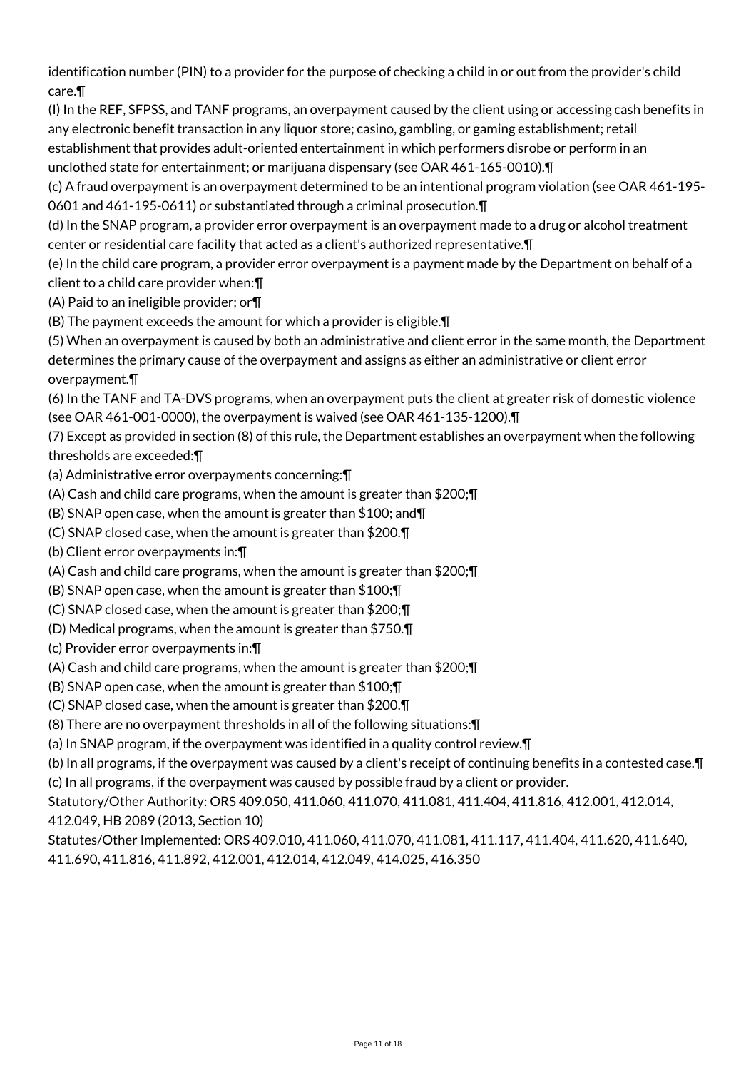identification number (PIN) to a provider for the purpose of checking a child in or out from the provider's child care.¶

(I) In the REF, SFPSS, and TANF programs, an overpayment caused by the client using or accessing cash benefits in any electronic benefit transaction in any liquor store; casino, gambling, or gaming establishment; retail establishment that provides adult-oriented entertainment in which performers disrobe or perform in an unclothed state for entertainment; or marijuana dispensary (see OAR 461-165-0010).¶

(c) A fraud overpayment is an overpayment determined to be an intentional program violation (see OAR 461-195- 0601 and 461-195-0611) or substantiated through a criminal prosecution.¶

(d) In the SNAP program, a provider error overpayment is an overpayment made to a drug or alcohol treatment center or residential care facility that acted as a client's authorized representative.¶

(e) In the child care program, a provider error overpayment is a payment made by the Department on behalf of a client to a child care provider when:¶

(A) Paid to an ineligible provider; or¶

(B) The payment exceeds the amount for which a provider is eligible.¶

(5) When an overpayment is caused by both an administrative and client error in the same month, the Department determines the primary cause of the overpayment and assigns as either an administrative or client error overpayment.¶

(6) In the TANF and TA-DVS programs, when an overpayment puts the client at greater risk of domestic violence (see OAR 461-001-0000), the overpayment is waived (see OAR 461-135-1200).¶

(7) Except as provided in section (8) of this rule, the Department establishes an overpayment when the following thresholds are exceeded:¶

(a) Administrative error overpayments concerning:¶

(A) Cash and child care programs, when the amount is greater than \$200;¶

(B) SNAP open case, when the amount is greater than \$100; and¶

(C) SNAP closed case, when the amount is greater than \$200.¶

(b) Client error overpayments in:¶

(A) Cash and child care programs, when the amount is greater than \$200;¶

(B) SNAP open case, when the amount is greater than \$100;¶

(C) SNAP closed case, when the amount is greater than \$200;¶

(D) Medical programs, when the amount is greater than \$750.¶

(c) Provider error overpayments in:¶

(A) Cash and child care programs, when the amount is greater than \$200;¶

(B) SNAP open case, when the amount is greater than \$100;¶

(C) SNAP closed case, when the amount is greater than \$200.¶

(8) There are no overpayment thresholds in all of the following situations:¶

(a) In SNAP program, if the overpayment was identified in a quality control review.¶

(b) In all programs, if the overpayment was caused by a client's receipt of continuing benefits in a contested case.¶ (c) In all programs, if the overpayment was caused by possible fraud by a client or provider.

Statutory/Other Authority: ORS 409.050, 411.060, 411.070, 411.081, 411.404, 411.816, 412.001, 412.014, 412.049, HB 2089 (2013, Section 10)

Statutes/Other Implemented: ORS 409.010, 411.060, 411.070, 411.081, 411.117, 411.404, 411.620, 411.640, 411.690, 411.816, 411.892, 412.001, 412.014, 412.049, 414.025, 416.350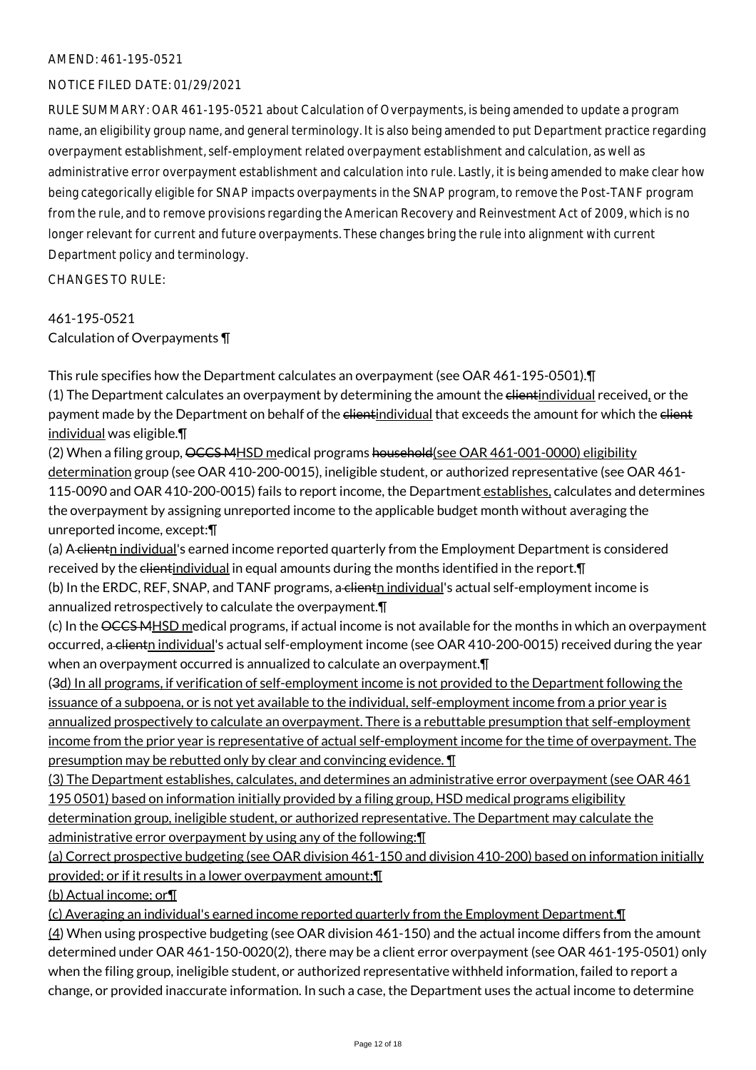#### NOTICE FILED DATE: 01/29/2021

RULE SUMMARY: OAR 461-195-0521 about Calculation of Overpayments, is being amended to update a program name, an eligibility group name, and general terminology. It is also being amended to put Department practice regarding overpayment establishment, self-employment related overpayment establishment and calculation, as well as administrative error overpayment establishment and calculation into rule. Lastly, it is being amended to make clear how being categorically eligible for SNAP impacts overpayments in the SNAP program, to remove the Post-TANF program from the rule, and to remove provisions regarding the American Recovery and Reinvestment Act of 2009, which is no longer relevant for current and future overpayments. These changes bring the rule into alignment with current Department policy and terminology.

CHANGES TO RULE:

# 461-195-0521

Calculation of Overpayments ¶

This rule specifies how the Department calculates an overpayment (see OAR 461-195-0501).¶ (1) The Department calculates an overpayment by determining the amount the elientindividual received, or the payment made by the Department on behalf of the client individual that exceeds the amount for which the client individual was eligible.¶

(2) When a filing group, OCCS MHSD medical programs household(see OAR 461-001-0000) eligibility determination group (see OAR 410-200-0015), ineligible student, or authorized representative (see OAR 461-115-0090 and OAR 410-200-0015) fails to report income, the Department establishes, calculates and determines the overpayment by assigning unreported income to the applicable budget month without averaging the unreported income, except:¶

(a) A clientn individual's earned income reported quarterly from the Employment Department is considered received by the elientindividual in equal amounts during the months identified in the report. In

(b) In the ERDC, REF, SNAP, and TANF programs, a clientn individual's actual self-employment income is annualized retrospectively to calculate the overpayment.¶

(c) In the OCCS MHSD medical programs, if actual income is not available for the months in which an overpayment occurred, a clientn individual's actual self-employment income (see OAR 410-200-0015) received during the year when an overpayment occurred is annualized to calculate an overpayment. **T** 

(3d) In all programs, if verification of self-employment income is not provided to the Department following the issuance of a subpoena, or is not yet available to the individual, self-employment income from a prior year is annualized prospectively to calculate an overpayment. There is a rebuttable presumption that self-employment income from the prior year is representative of actual self-employment income for the time of overpayment. The presumption may be rebutted only by clear and convincing evidence. ¶

(3) The Department establishes, calculates, and determines an administrative error overpayment (see OAR 461 195 0501) based on information initially provided by a filing group, HSD medical programs eligibility

determination group, ineligible student, or authorized representative. The Department may calculate the administrative error overpayment by using any of the following:¶

(a) Correct prospective budgeting (see OAR division 461-150 and division 410-200) based on information initially provided; or if it results in a lower overpayment amount;¶

(b) Actual income; or¶

(c) Averaging an individual's earned income reported quarterly from the Employment Department.¶

(4) When using prospective budgeting (see OAR division 461-150) and the actual income differs from the amount determined under OAR 461-150-0020(2), there may be a client error overpayment (see OAR 461-195-0501) only when the filing group, ineligible student, or authorized representative withheld information, failed to report a change, or provided inaccurate information. In such a case, the Department uses the actual income to determine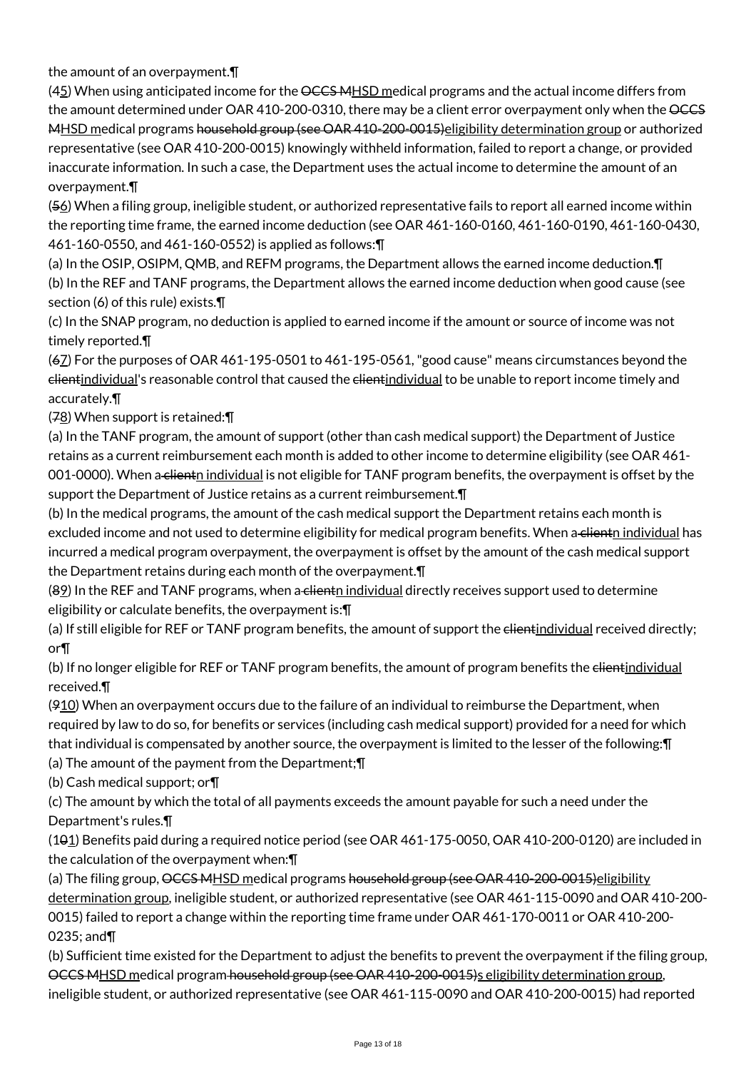the amount of an overpayment.¶

(45) When using anticipated income for the OCCS MHSD medical programs and the actual income differs from the amount determined under OAR 410-200-0310, there may be a client error overpayment only when the  $\overline{\text{OCES}}$ MHSD medical programs household group (see OAR 410-200-0015) eligibility determination group or authorized representative (see OAR 410-200-0015) knowingly withheld information, failed to report a change, or provided inaccurate information. In such a case, the Department uses the actual income to determine the amount of an overpayment.¶

(56) When a filing group, ineligible student, or authorized representative fails to report all earned income within the reporting time frame, the earned income deduction (see OAR 461-160-0160, 461-160-0190, 461-160-0430, 461-160-0550, and 461-160-0552) is applied as follows:¶

(a) In the OSIP, OSIPM, QMB, and REFM programs, the Department allows the earned income deduction.¶ (b) In the REF and TANF programs, the Department allows the earned income deduction when good cause (see section (6) of this rule) exists.¶

(c) In the SNAP program, no deduction is applied to earned income if the amount or source of income was not timely reported.¶

(67) For the purposes of OAR 461-195-0501 to 461-195-0561, "good cause" means circumstances beyond the <del>client</del>individual's reasonable control that caused the <del>client</del>individual to be unable to report income timely and accurately.¶

(78) When support is retained:¶

(a) In the TANF program, the amount of support (other than cash medical support) the Department of Justice retains as a current reimbursement each month is added to other income to determine eligibility (see OAR 461- 001-0000). When a clientn individual is not eligible for TANF program benefits, the overpayment is offset by the support the Department of Justice retains as a current reimbursement.¶

(b) In the medical programs, the amount of the cash medical support the Department retains each month is excluded income and not used to determine eligibility for medical program benefits. When a client<u>n individual</u> has incurred a medical program overpayment, the overpayment is offset by the amount of the cash medical support the Department retains during each month of the overpayment.¶

(89) In the REF and TANF programs, when a clientn individual directly receives support used to determine eligibility or calculate benefits, the overpayment is:¶

(a) If still eligible for REF or TANF program benefits, the amount of support the elientindividual received directly; or¶

(b) If no longer eligible for REF or TANF program benefits, the amount of program benefits the elientindividual received.¶

 $(910)$  When an overpayment occurs due to the failure of an individual to reimburse the Department, when required by law to do so, for benefits or services (including cash medical support) provided for a need for which that individual is compensated by another source, the overpayment is limited to the lesser of the following:¶

(a) The amount of the payment from the Department;¶

(b) Cash medical support; or¶

(c) The amount by which the total of all payments exceeds the amount payable for such a need under the

# Department's rules.¶

(101) Benefits paid during a required notice period (see OAR 461-175-0050, OAR 410-200-0120) are included in the calculation of the overpayment when:¶

(a) The filing group, OCCS MHSD medical programs household group (see OAR 410-200-0015)eligibility determination group, ineligible student, or authorized representative (see OAR 461-115-0090 and OAR 410-200- 0015) failed to report a change within the reporting time frame under OAR 461-170-0011 or OAR 410-200- 0235; and¶

(b) Sufficient time existed for the Department to adjust the benefits to prevent the overpayment if the filing group, OCCS MHSD medical program household group (see OAR 410-200-0015)s eligibility determination group, ineligible student, or authorized representative (see OAR 461-115-0090 and OAR 410-200-0015) had reported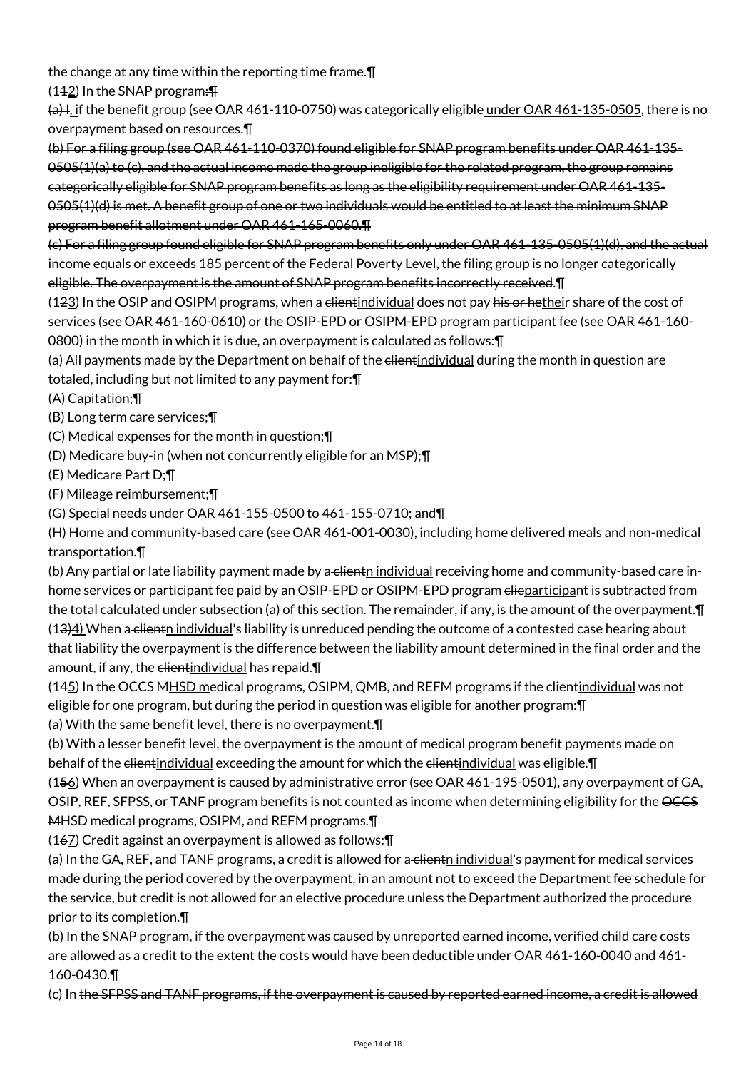the change at any time within the reporting time frame.¶

(112) In the SNAP program:¶

 $\Theta$ , I, if the benefit group (see OAR 461-110-0750) was categorically eligible under OAR 461-135-0505, there is no overpayment based on resources.¶

(b) For a filing group (see OAR 461-110-0370) found eligible for SNAP program benefits under OAR 461-135-  $0.0505(1)(a)$  to (c), and the actual income made the group ineligible for the related program, the group remains categorically eligible for SNAP program benefits as long as the eligibility requirement under OAR 461-135- 0505(1)(d) is met. A benefit group of one or two individuals would be entitled to at least the minimum SNAP program benefit allotment under OAR 461-165-0060.¶

(c) For a filing group found eligible for SNAP program benefits only under OAR 461-135-0505(1)(d), and the actual income equals or exceeds 185 percent of the Federal Poverty Level, the filing group is no longer categorically eligible. The overpayment is the amount of SNAP program benefits incorrectly received.¶

(123) In the OSIP and OSIPM programs, when a clientindividual does not pay his or hetheir share of the cost of services (see OAR 461-160-0610) or the OSIP-EPD or OSIPM-EPD program participant fee (see OAR 461-160- 0800) in the month in which it is due, an overpayment is calculated as follows:¶

(a) All payments made by the Department on behalf of the elientindividual during the month in question are totaled, including but not limited to any payment for:¶

(A) Capitation;¶

(B) Long term care services;¶

(C) Medical expenses for the month in question;¶

(D) Medicare buy-in (when not concurrently eligible for an MSP);¶

(E) Medicare Part D;¶

(F) Mileage reimbursement;¶

(G) Special needs under OAR 461-155-0500 to 461-155-0710; and¶

(H) Home and community-based care (see OAR 461-001-0030), including home delivered meals and non-medical transportation.¶

(b) Any partial or late liability payment made by a clientn individual receiving home and community-based care inhome services or participant fee paid by an OSIP-EPD or OSIPM-EPD program elieparticipant is subtracted from the total calculated under subsection (a) of this section. The remainder, if any, is the amount of the overpayment. I (13)4) When a clienth individual's liability is unreduced pending the outcome of a contested case hearing about that liability the overpayment is the difference between the liability amount determined in the final order and the amount, if any, the elientindividual has repaid. T

(145) In the OCCS MHSD medical programs, OSIPM, QMB, and REFM programs if the elientindividual was not eligible for one program, but during the period in question was eligible for another program:¶

(a) With the same benefit level, there is no overpayment.¶

(b) With a lesser benefit level, the overpayment is the amount of medical program benefit payments made on behalf of the clientindividual exceeding the amount for which the clientindividual was eligible. The

(156) When an overpayment is caused by administrative error (see OAR 461-195-0501), any overpayment of GA, OSIP, REF, SFPSS, or TANF program benefits is not counted as income when determining eligibility for the OCCS MHSD medical programs, OSIPM, and REFM programs.

(167) Credit against an overpayment is allowed as follows:¶

(a) In the GA, REF, and TANF programs, a credit is allowed for a client<sub>n</sub> individual's payment for medical services made during the period covered by the overpayment, in an amount not to exceed the Department fee schedule for the service, but credit is not allowed for an elective procedure unless the Department authorized the procedure prior to its completion.¶

(b) In the SNAP program, if the overpayment was caused by unreported earned income, verified child care costs are allowed as a credit to the extent the costs would have been deductible under OAR 461-160-0040 and 461- 160-0430.¶

(c) In the SFPSS and TANF programs, if the overpayment is caused by reported earned income, a credit is allowed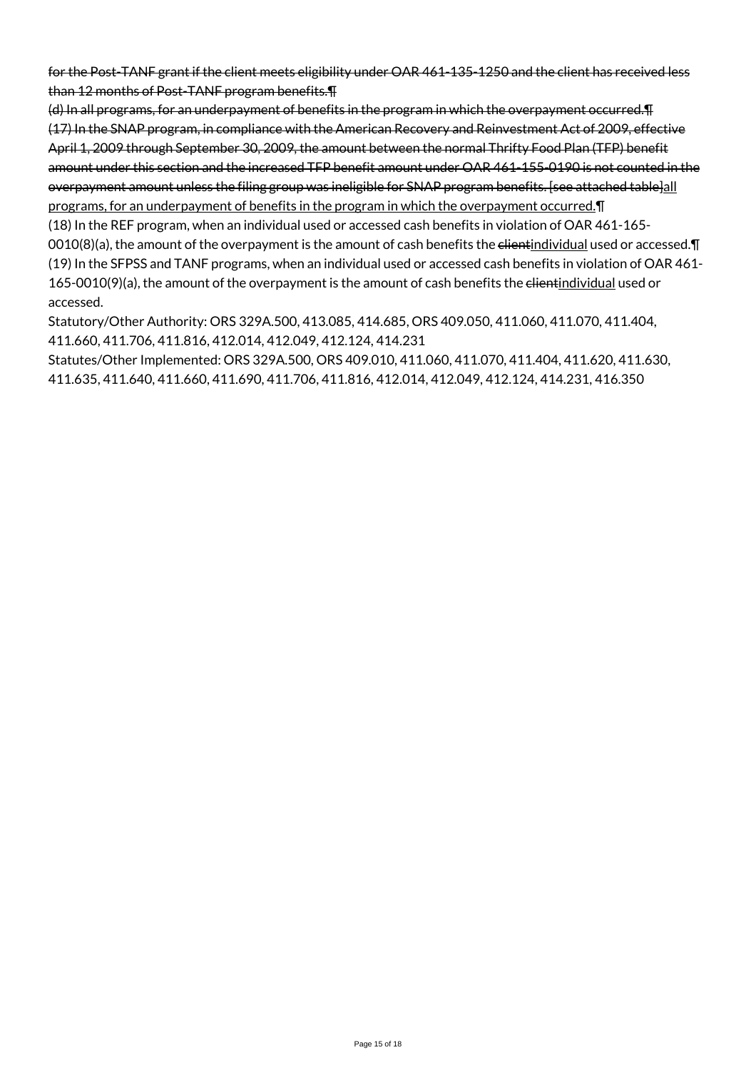for the Post-TANF grant if the client meets eligibility under OAR 461-135-1250 and the client has received less than 12 months of Post-TANF program benefits.¶

(d) In all programs, for an underpayment of benefits in the program in which the overpayment occurred.¶ (17) In the SNAP program, in compliance with the American Recovery and Reinvestment Act of 2009, effective April 1, 2009 through September 30, 2009, the amount between the normal Thrifty Food Plan (TFP) benefit amount under this section and the increased TFP benefit amount under OAR 461-155-0190 is not counted in the overpayment amount unless the filing group was ineligible for SNAP program benefits. [see attached table]all programs, for an underpayment of benefits in the program in which the overpayment occurred.¶

(18) In the REF program, when an individual used or accessed cash benefits in violation of OAR 461-165- 0010(8)(a), the amount of the overpayment is the amount of cash benefits the elientindividual used or accessed. $\P$ (19) In the SFPSS and TANF programs, when an individual used or accessed cash benefits in violation of OAR 461- 165-0010(9)(a), the amount of the overpayment is the amount of cash benefits the elientindividual used or accessed.

Statutory/Other Authority: ORS 329A.500, 413.085, 414.685, ORS 409.050, 411.060, 411.070, 411.404, 411.660, 411.706, 411.816, 412.014, 412.049, 412.124, 414.231

Statutes/Other Implemented: ORS 329A.500, ORS 409.010, 411.060, 411.070, 411.404, 411.620, 411.630, 411.635, 411.640, 411.660, 411.690, 411.706, 411.816, 412.014, 412.049, 412.124, 414.231, 416.350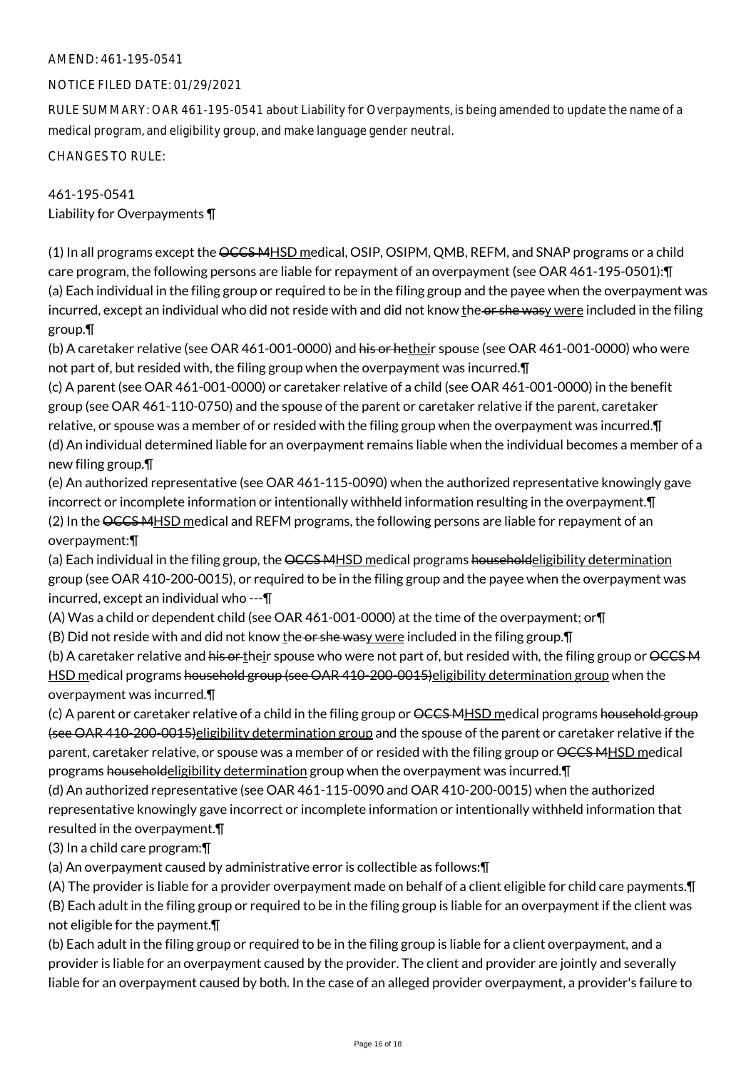#### NOTICE FILED DATE: 01/29/2021

RULE SUMMARY: OAR 461-195-0541 about Liability for Overpayments, is being amended to update the name of a medical program, and eligibility group, and make language gender neutral.

CHANGES TO RULE:

# 461-195-0541 Liability for Overpayments ¶

(1) In all programs except the OCCS MHSD medical, OSIP, OSIPM, QMB, REFM, and SNAP programs or a child care program, the following persons are liable for repayment of an overpayment (see OAR 461-195-0501):¶ (a) Each individual in the filing group or required to be in the filing group and the payee when the overpayment was incurred, except an individual who did not reside with and did not know the or she wasy were included in the filing group.¶

(b) A caretaker relative (see OAR 461-001-0000) and his or hetheir spouse (see OAR 461-001-0000) who were not part of, but resided with, the filing group when the overpayment was incurred.¶

(c) A parent (see OAR 461-001-0000) or caretaker relative of a child (see OAR 461-001-0000) in the benefit group (see OAR 461-110-0750) and the spouse of the parent or caretaker relative if the parent, caretaker relative, or spouse was a member of or resided with the filing group when the overpayment was incurred.¶ (d) An individual determined liable for an overpayment remains liable when the individual becomes a member of a new filing group.¶

(e) An authorized representative (see OAR 461-115-0090) when the authorized representative knowingly gave incorrect or incomplete information or intentionally withheld information resulting in the overpayment.¶ (2) In the OCCS MHSD medical and REFM programs, the following persons are liable for repayment of an overpayment:¶

(a) Each individual in the filing group, the <del>OCCS MHSD</del> medical programs <del>householdeligibility determination</del> group (see OAR 410-200-0015), or required to be in the filing group and the payee when the overpayment was incurred, except an individual who ---¶

(A) Was a child or dependent child (see OAR 461-001-0000) at the time of the overpayment; or¶ (B) Did not reside with and did not know the or she wasy were included in the filing group.  $\P$ 

(b) A caretaker relative and his or their spouse who were not part of, but resided with, the filing group or OCCSM HSD medical programs household group (see OAR 410-200-0015) eligibility determination group when the overpayment was incurred.¶

(c) A parent or caretaker relative of a child in the filing group or <del>OCCS MHSD</del> medical programs household group (see OAR 410-200-0015)eligibility determination group and the spouse of the parent or caretaker relative if the parent, caretaker relative, or spouse was a member of or resided with the filing group or  $\angle{CCS}$  MHSD medical programs householdeligibility determination group when the overpayment was incurred.¶

(d) An authorized representative (see OAR 461-115-0090 and OAR 410-200-0015) when the authorized representative knowingly gave incorrect or incomplete information or intentionally withheld information that resulted in the overpayment.¶

(3) In a child care program:¶

(a) An overpayment caused by administrative error is collectible as follows:¶

(A) The provider is liable for a provider overpayment made on behalf of a client eligible for child care payments.¶ (B) Each adult in the filing group or required to be in the filing group is liable for an overpayment if the client was not eligible for the payment.¶

(b) Each adult in the filing group or required to be in the filing group is liable for a client overpayment, and a provider is liable for an overpayment caused by the provider. The client and provider are jointly and severally liable for an overpayment caused by both. In the case of an alleged provider overpayment, a provider's failure to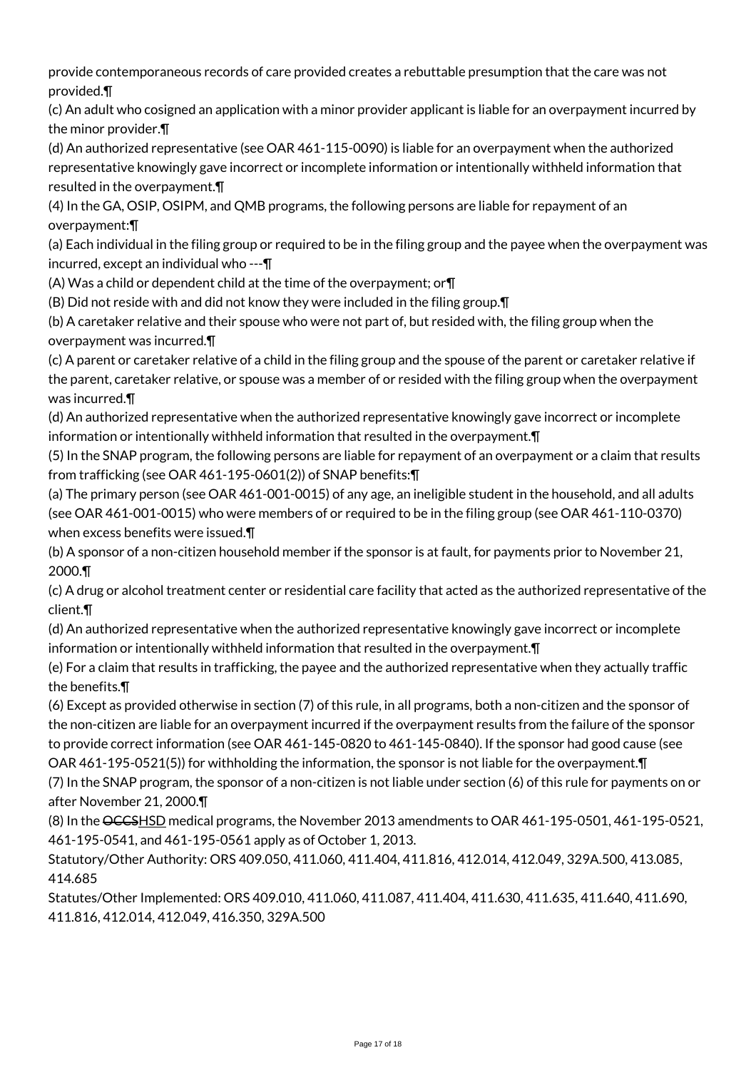provide contemporaneous records of care provided creates a rebuttable presumption that the care was not provided.¶

(c) An adult who cosigned an application with a minor provider applicant is liable for an overpayment incurred by the minor provider.¶

(d) An authorized representative (see OAR 461-115-0090) is liable for an overpayment when the authorized representative knowingly gave incorrect or incomplete information or intentionally withheld information that resulted in the overpayment.¶

(4) In the GA, OSIP, OSIPM, and QMB programs, the following persons are liable for repayment of an overpayment:¶

(a) Each individual in the filing group or required to be in the filing group and the payee when the overpayment was incurred, except an individual who ---¶

(A) Was a child or dependent child at the time of the overpayment; or¶

(B) Did not reside with and did not know they were included in the filing group.¶

(b) A caretaker relative and their spouse who were not part of, but resided with, the filing group when the overpayment was incurred.¶

(c) A parent or caretaker relative of a child in the filing group and the spouse of the parent or caretaker relative if the parent, caretaker relative, or spouse was a member of or resided with the filing group when the overpayment was incurred.¶

(d) An authorized representative when the authorized representative knowingly gave incorrect or incomplete information or intentionally withheld information that resulted in the overpayment.¶

(5) In the SNAP program, the following persons are liable for repayment of an overpayment or a claim that results from trafficking (see OAR 461-195-0601(2)) of SNAP benefits:¶

(a) The primary person (see OAR 461-001-0015) of any age, an ineligible student in the household, and all adults (see OAR 461-001-0015) who were members of or required to be in the filing group (see OAR 461-110-0370) when excess benefits were issued.¶

(b) A sponsor of a non-citizen household member if the sponsor is at fault, for payments prior to November 21, 2000.¶

(c) A drug or alcohol treatment center or residential care facility that acted as the authorized representative of the client.¶

(d) An authorized representative when the authorized representative knowingly gave incorrect or incomplete information or intentionally withheld information that resulted in the overpayment.¶

(e) For a claim that results in trafficking, the payee and the authorized representative when they actually traffic the benefits.¶

(6) Except as provided otherwise in section (7) of this rule, in all programs, both a non-citizen and the sponsor of the non-citizen are liable for an overpayment incurred if the overpayment results from the failure of the sponsor to provide correct information (see OAR 461-145-0820 to 461-145-0840). If the sponsor had good cause (see OAR 461-195-0521(5)) for withholding the information, the sponsor is not liable for the overpayment.¶

(7) In the SNAP program, the sponsor of a non-citizen is not liable under section (6) of this rule for payments on or after November 21, 2000.¶

(8) In the OCCSHSD medical programs, the November 2013 amendments to OAR 461-195-0501, 461-195-0521, 461-195-0541, and 461-195-0561 apply as of October 1, 2013.

Statutory/Other Authority: ORS 409.050, 411.060, 411.404, 411.816, 412.014, 412.049, 329A.500, 413.085, 414.685

Statutes/Other Implemented: ORS 409.010, 411.060, 411.087, 411.404, 411.630, 411.635, 411.640, 411.690, 411.816, 412.014, 412.049, 416.350, 329A.500